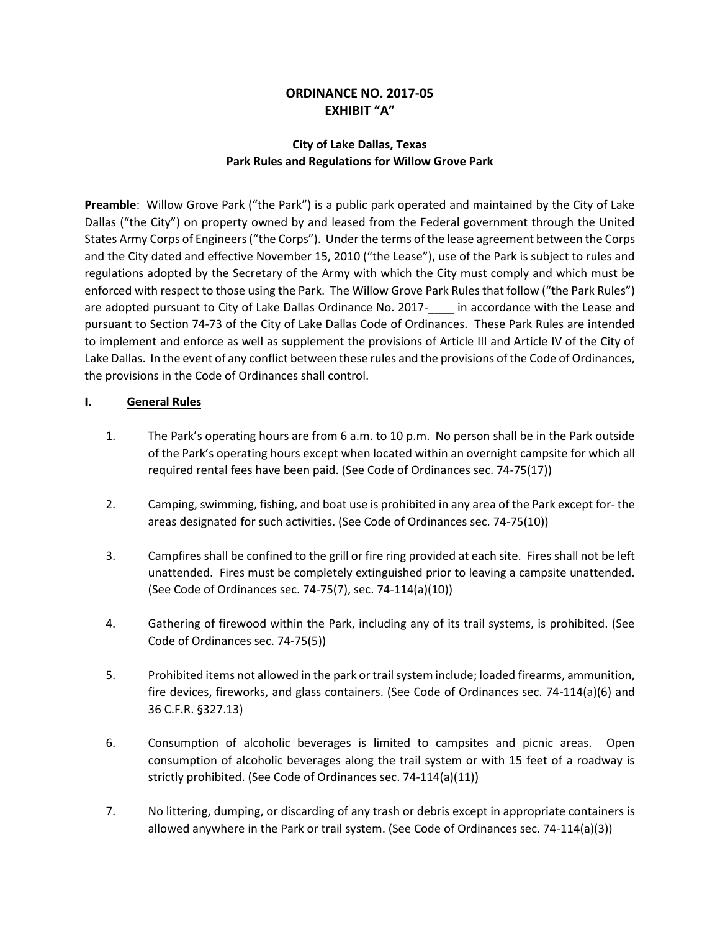# **ORDINANCE NO. 2017-05 EXHIBIT "A"**

## **City of Lake Dallas, Texas Park Rules and Regulations for Willow Grove Park**

**Preamble**: Willow Grove Park ("the Park") is a public park operated and maintained by the City of Lake Dallas ("the City") on property owned by and leased from the Federal government through the United States Army Corps of Engineers ("the Corps"). Under the terms of the lease agreement between the Corps and the City dated and effective November 15, 2010 ("the Lease"), use of the Park is subject to rules and regulations adopted by the Secretary of the Army with which the City must comply and which must be enforced with respect to those using the Park. The Willow Grove Park Rules that follow ("the Park Rules") are adopted pursuant to City of Lake Dallas Ordinance No. 2017- in accordance with the Lease and pursuant to Section 74-73 of the City of Lake Dallas Code of Ordinances. These Park Rules are intended to implement and enforce as well as supplement the provisions of Article III and Article IV of the City of Lake Dallas. In the event of any conflict between these rules and the provisions of the Code of Ordinances, the provisions in the Code of Ordinances shall control.

## **I. General Rules**

- 1. The Park's operating hours are from 6 a.m. to 10 p.m. No person shall be in the Park outside of the Park's operating hours except when located within an overnight campsite for which all required rental fees have been paid. (See Code of Ordinances sec. 74-75(17))
- 2. Camping, swimming, fishing, and boat use is prohibited in any area of the Park except for- the areas designated for such activities. (See Code of Ordinances sec. 74-75(10))
- 3. Campfires shall be confined to the grill or fire ring provided at each site. Fires shall not be left unattended. Fires must be completely extinguished prior to leaving a campsite unattended. (See Code of Ordinances sec. 74-75(7), sec. 74-114(a)(10))
- 4. Gathering of firewood within the Park, including any of its trail systems, is prohibited. (See Code of Ordinances sec. 74-75(5))
- 5. Prohibited items not allowed in the park or trail system include; loaded firearms, ammunition, fire devices, fireworks, and glass containers. (See Code of Ordinances sec. 74-114(a)(6) and 36 C.F.R. §327.13)
- 6. Consumption of alcoholic beverages is limited to campsites and picnic areas. Open consumption of alcoholic beverages along the trail system or with 15 feet of a roadway is strictly prohibited. (See Code of Ordinances sec. 74-114(a)(11))
- 7. No littering, dumping, or discarding of any trash or debris except in appropriate containers is allowed anywhere in the Park or trail system. (See Code of Ordinances sec. 74-114(a)(3))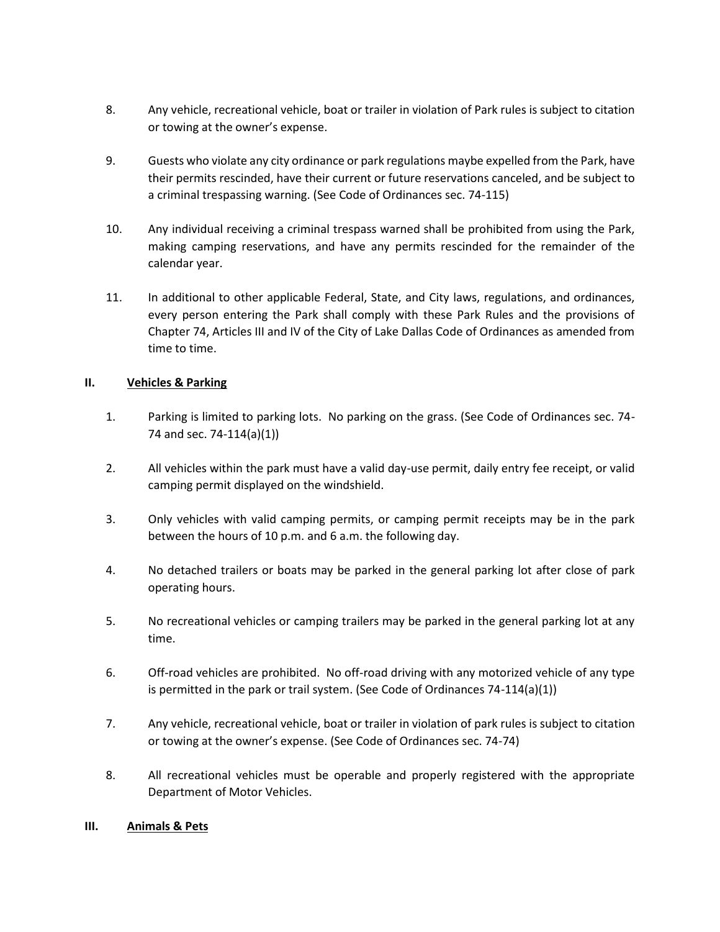- 8. Any vehicle, recreational vehicle, boat or trailer in violation of Park rules is subject to citation or towing at the owner's expense.
- 9. Guests who violate any city ordinance or park regulations maybe expelled from the Park, have their permits rescinded, have their current or future reservations canceled, and be subject to a criminal trespassing warning. (See Code of Ordinances sec. 74-115)
- 10. Any individual receiving a criminal trespass warned shall be prohibited from using the Park, making camping reservations, and have any permits rescinded for the remainder of the calendar year.
- 11. In additional to other applicable Federal, State, and City laws, regulations, and ordinances, every person entering the Park shall comply with these Park Rules and the provisions of Chapter 74, Articles III and IV of the City of Lake Dallas Code of Ordinances as amended from time to time.

## **II. Vehicles & Parking**

- 1. Parking is limited to parking lots. No parking on the grass. (See Code of Ordinances sec. 74- 74 and sec. 74-114(a)(1))
- 2. All vehicles within the park must have a valid day-use permit, daily entry fee receipt, or valid camping permit displayed on the windshield.
- 3. Only vehicles with valid camping permits, or camping permit receipts may be in the park between the hours of 10 p.m. and 6 a.m. the following day.
- 4. No detached trailers or boats may be parked in the general parking lot after close of park operating hours.
- 5. No recreational vehicles or camping trailers may be parked in the general parking lot at any time.
- 6. Off-road vehicles are prohibited. No off-road driving with any motorized vehicle of any type is permitted in the park or trail system. (See Code of Ordinances 74-114(a)(1))
- 7. Any vehicle, recreational vehicle, boat or trailer in violation of park rules is subject to citation or towing at the owner's expense. (See Code of Ordinances sec. 74-74)
- 8. All recreational vehicles must be operable and properly registered with the appropriate Department of Motor Vehicles.

#### **III. Animals & Pets**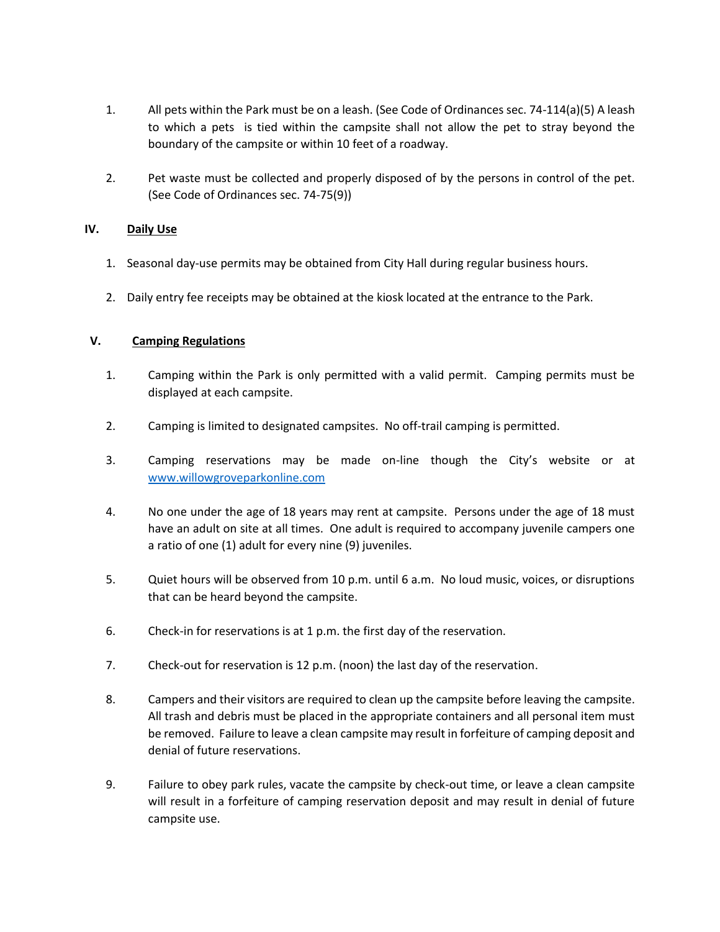- 1. All pets within the Park must be on a leash. (See Code of Ordinances sec. 74-114(a)(5) A leash to which a pets is tied within the campsite shall not allow the pet to stray beyond the boundary of the campsite or within 10 feet of a roadway.
- 2. Pet waste must be collected and properly disposed of by the persons in control of the pet. (See Code of Ordinances sec. 74-75(9))

## **IV. Daily Use**

- 1. Seasonal day-use permits may be obtained from City Hall during regular business hours.
- 2. Daily entry fee receipts may be obtained at the kiosk located at the entrance to the Park.

## **V. Camping Regulations**

- 1. Camping within the Park is only permitted with a valid permit. Camping permits must be displayed at each campsite.
- 2. Camping is limited to designated campsites. No off-trail camping is permitted.
- 3. Camping reservations may be made on-line though the City's website or at [www.willowgroveparkonline.com](http://www.willowgroveparkonline.com/)
- 4. No one under the age of 18 years may rent at campsite. Persons under the age of 18 must have an adult on site at all times. One adult is required to accompany juvenile campers one a ratio of one (1) adult for every nine (9) juveniles.
- 5. Quiet hours will be observed from 10 p.m. until 6 a.m. No loud music, voices, or disruptions that can be heard beyond the campsite.
- 6. Check-in for reservations is at 1 p.m. the first day of the reservation.
- 7. Check-out for reservation is 12 p.m. (noon) the last day of the reservation.
- 8. Campers and their visitors are required to clean up the campsite before leaving the campsite. All trash and debris must be placed in the appropriate containers and all personal item must be removed. Failure to leave a clean campsite may result in forfeiture of camping deposit and denial of future reservations.
- 9. Failure to obey park rules, vacate the campsite by check-out time, or leave a clean campsite will result in a forfeiture of camping reservation deposit and may result in denial of future campsite use.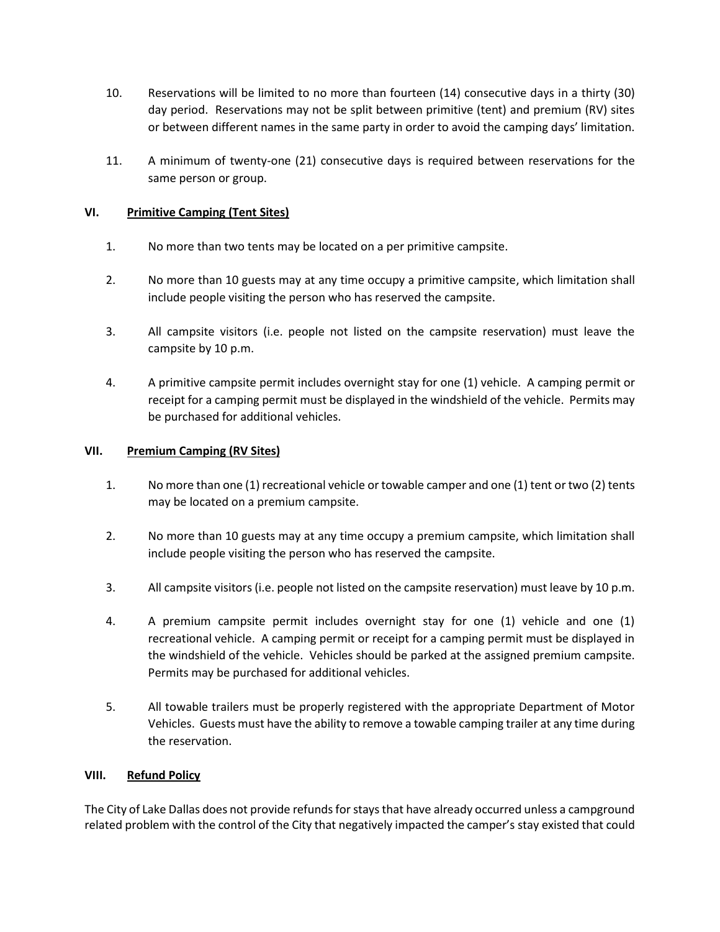- 10. Reservations will be limited to no more than fourteen (14) consecutive days in a thirty (30) day period. Reservations may not be split between primitive (tent) and premium (RV) sites or between different names in the same party in order to avoid the camping days' limitation.
- 11. A minimum of twenty-one (21) consecutive days is required between reservations for the same person or group.

## **VI. Primitive Camping (Tent Sites)**

- 1. No more than two tents may be located on a per primitive campsite.
- 2. No more than 10 guests may at any time occupy a primitive campsite, which limitation shall include people visiting the person who has reserved the campsite.
- 3. All campsite visitors (i.e. people not listed on the campsite reservation) must leave the campsite by 10 p.m.
- 4. A primitive campsite permit includes overnight stay for one (1) vehicle. A camping permit or receipt for a camping permit must be displayed in the windshield of the vehicle. Permits may be purchased for additional vehicles.

#### **VII. Premium Camping (RV Sites)**

- 1. No more than one (1) recreational vehicle or towable camper and one (1) tent or two (2) tents may be located on a premium campsite.
- 2. No more than 10 guests may at any time occupy a premium campsite, which limitation shall include people visiting the person who has reserved the campsite.
- 3. All campsite visitors (i.e. people not listed on the campsite reservation) must leave by 10 p.m.
- 4. A premium campsite permit includes overnight stay for one (1) vehicle and one (1) recreational vehicle. A camping permit or receipt for a camping permit must be displayed in the windshield of the vehicle. Vehicles should be parked at the assigned premium campsite. Permits may be purchased for additional vehicles.
- 5. All towable trailers must be properly registered with the appropriate Department of Motor Vehicles. Guests must have the ability to remove a towable camping trailer at any time during the reservation.

#### **VIII. Refund Policy**

The City of Lake Dallas does not provide refunds for stays that have already occurred unless a campground related problem with the control of the City that negatively impacted the camper's stay existed that could